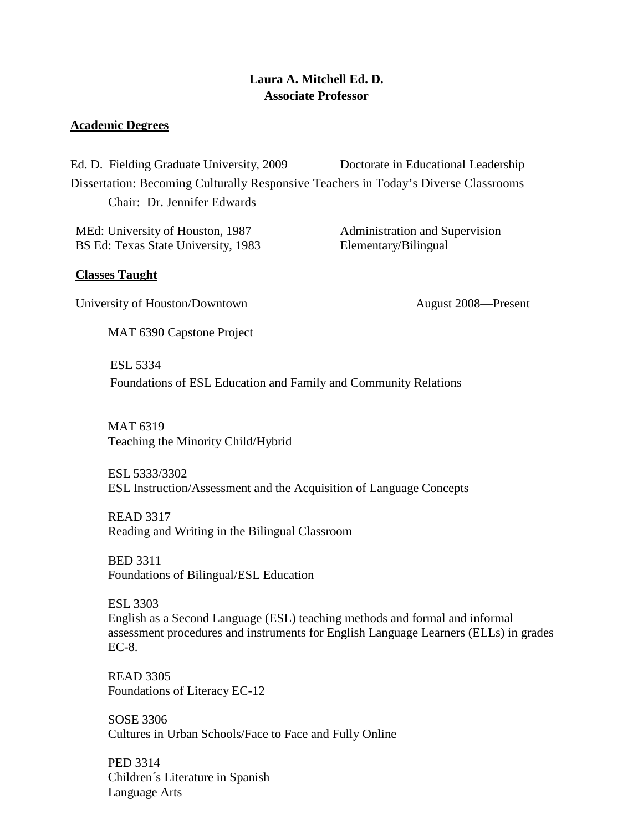# **Laura A. Mitchell Ed. D. Associate Professor**

### **Academic Degrees**

Ed. D. Fielding Graduate University, 2009 Doctorate in Educational Leadership Dissertation: Becoming Culturally Responsive Teachers in Today's Diverse Classrooms Chair: Dr. Jennifer Edwards

MEd: University of Houston, 1987 Administration and Supervision BS Ed: Texas State University, 1983 Elementary/Bilingual

### **Classes Taught**

University of Houston/Downtown August 2008—Present

MAT 6390 Capstone Project

 ESL 5334 Foundations of ESL Education and Family and Community Relations

MAT 6319 Teaching the Minority Child/Hybrid

ESL 5333/3302 ESL Instruction/Assessment and the Acquisition of Language Concepts

READ 3317 Reading and Writing in the Bilingual Classroom

BED 3311 Foundations of Bilingual/ESL Education

ESL 3303 English as a Second Language (ESL) teaching methods and formal and informal assessment procedures and instruments for English Language Learners (ELLs) in grades EC-8.

READ 3305 Foundations of Literacy EC-12

SOSE 3306 Cultures in Urban Schools/Face to Face and Fully Online

PED 3314 Children´s Literature in Spanish Language Arts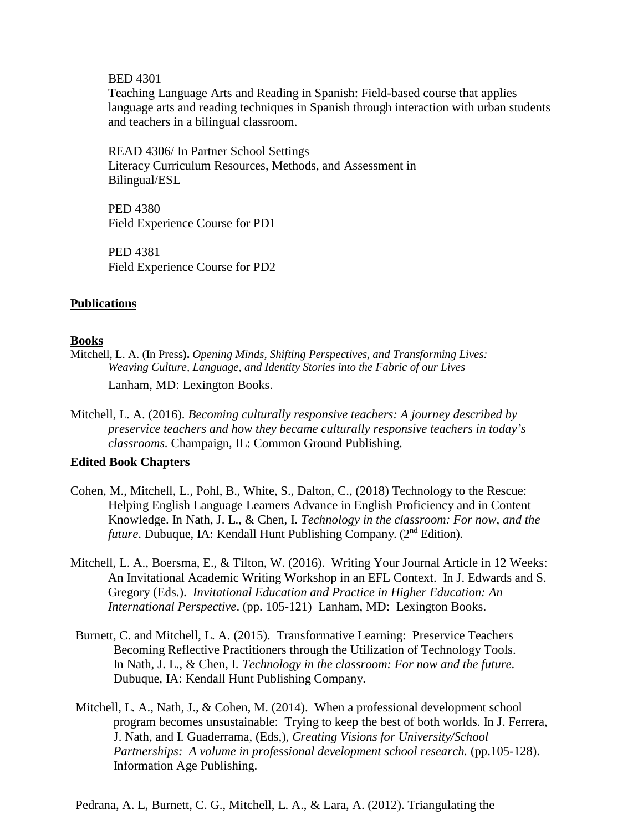BED 4301

Teaching Language Arts and Reading in Spanish: Field-based course that applies language arts and reading techniques in Spanish through interaction with urban students and teachers in a bilingual classroom.

READ 4306/ In Partner School Settings Literacy Curriculum Resources, Methods, and Assessment in Bilingual/ESL

PED 4380 Field Experience Course for PD1

PED 4381 Field Experience Course for PD2

### **Publications**

### **Books**

Mitchell, L. A. (In Press**).** *Opening Minds, Shifting Perspectives, and Transforming Lives: Weaving Culture, Language, and Identity Stories into the Fabric of our Lives*

Lanham, MD: Lexington Books.

Mitchell, L. A. (2016). *Becoming culturally responsive teachers: A journey described by preservice teachers and how they became culturally responsive teachers in today's classrooms.* Champaign, IL: Common Ground Publishing.

### **Edited Book Chapters**

- Cohen, M., Mitchell, L., Pohl, B., White, S., Dalton, C., (2018) Technology to the Rescue: Helping English Language Learners Advance in English Proficiency and in Content Knowledge. In Nath, J. L., & Chen, I. *Technology in the classroom: For now, and the future*. Dubuque, IA: Kendall Hunt Publishing Company. (2<sup>nd</sup> Edition).
- Mitchell, L. A., Boersma, E., & Tilton, W. (2016). Writing Your Journal Article in 12 Weeks: An Invitational Academic Writing Workshop in an EFL Context. In J. Edwards and S. Gregory (Eds.). *Invitational Education and Practice in Higher Education: An International Perspective*. (pp. 105-121) Lanham, MD: Lexington Books.
- Burnett, C. and Mitchell, L. A. (2015). Transformative Learning: Preservice Teachers Becoming Reflective Practitioners through the Utilization of Technology Tools. In Nath, J. L., & Chen, I. *Technology in the classroom: For now and the future*. Dubuque, IA: Kendall Hunt Publishing Company.
- Mitchell, L. A., Nath, J., & Cohen, M. (2014). When a professional development school program becomes unsustainable: Trying to keep the best of both worlds. In J. Ferrera, J. Nath, and I. Guaderrama, (Eds,), *Creating Visions for University/School Partnerships: A volume in professional development school research.* (pp.105-128). Information Age Publishing.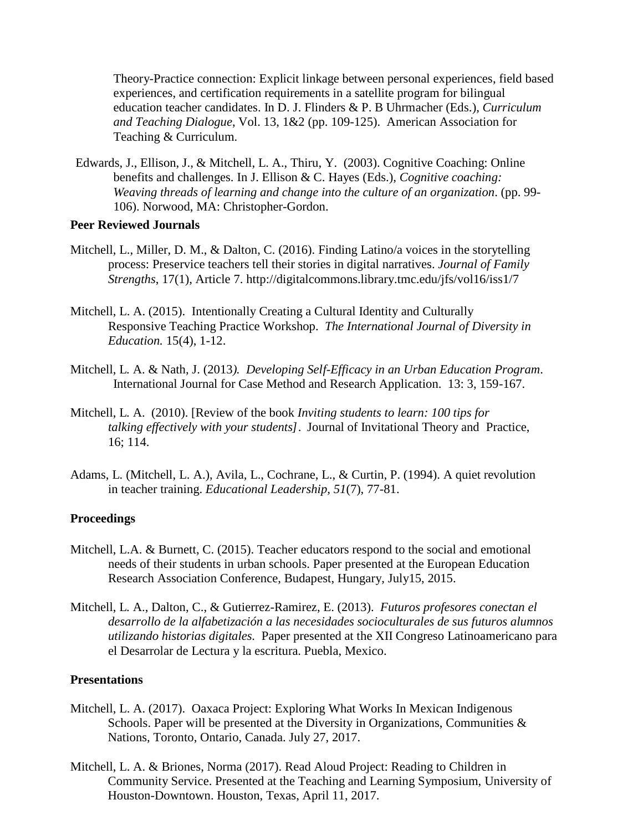Theory-Practice connection: Explicit linkage between personal experiences, field based experiences, and certification requirements in a satellite program for bilingual education teacher candidates. In D. J. Flinders & P. B Uhrmacher (Eds.), *Curriculum and Teaching Dialogue*, Vol. 13, 1&2 (pp. 109-125). American Association for Teaching & Curriculum.

Edwards, J., Ellison, J., & Mitchell, L. A., Thiru, Y. (2003). Cognitive Coaching: Online benefits and challenges. In J. Ellison & C. Hayes (Eds.), *Cognitive coaching: Weaving threads of learning and change into the culture of an organization*. (pp. 99- 106). Norwood, MA: Christopher-Gordon.

### **Peer Reviewed Journals**

- Mitchell, L., Miller, D. M., & Dalton, C. (2016). Finding Latino/a voices in the storytelling process: Preservice teachers tell their stories in digital narratives. *Journal of Family Strengths*, 17(1), Article 7. http://digitalcommons.library.tmc.edu/jfs/vol16/iss1/7
- Mitchell, L. A. (2015). Intentionally Creating a Cultural Identity and Culturally Responsive Teaching Practice Workshop. *The International Journal of Diversity in Education.* 15(4), 1-12.
- Mitchell, L. A. & Nath, J. (2013*). Developing Self-Efficacy in an Urban Education Program*. International Journal for Case Method and Research Application. 13: 3, 159-167.
- Mitchell, L. A. (2010). [Review of the book *Inviting students to learn: 100 tips for talking effectively with your students]*. Journal of Invitational Theory and Practice, 16; 114.
- Adams, L. (Mitchell, L. A.), Avila, L., Cochrane, L., & Curtin, P. (1994). A quiet revolution in teacher training. *Educational Leadership, 51*(7), 77-81.

### **Proceedings**

- Mitchell, L.A. & Burnett, C. (2015). Teacher educators respond to the social and emotional needs of their students in urban schools. Paper presented at the European Education Research Association Conference, Budapest, Hungary, July15, 2015.
- Mitchell, L. A., Dalton, C., & Gutierrez-Ramirez, E. (2013). *Futuros profesores conectan el desarrollo de la alfabetización a las necesidades socioculturales de sus futuros alumnos utilizando historias digitales.* Paper presented at the XII Congreso Latinoamericano para el Desarrolar de Lectura y la escritura. Puebla, Mexico.

### **Presentations**

- Mitchell, L. A. (2017). Oaxaca Project: Exploring What Works In Mexican Indigenous Schools. Paper will be presented at the Diversity in Organizations, Communities  $\&$ Nations, Toronto, Ontario, Canada. July 27, 2017.
- Mitchell, L. A. & Briones, Norma (2017). Read Aloud Project: Reading to Children in Community Service. Presented at the Teaching and Learning Symposium, University of Houston-Downtown. Houston, Texas, April 11, 2017.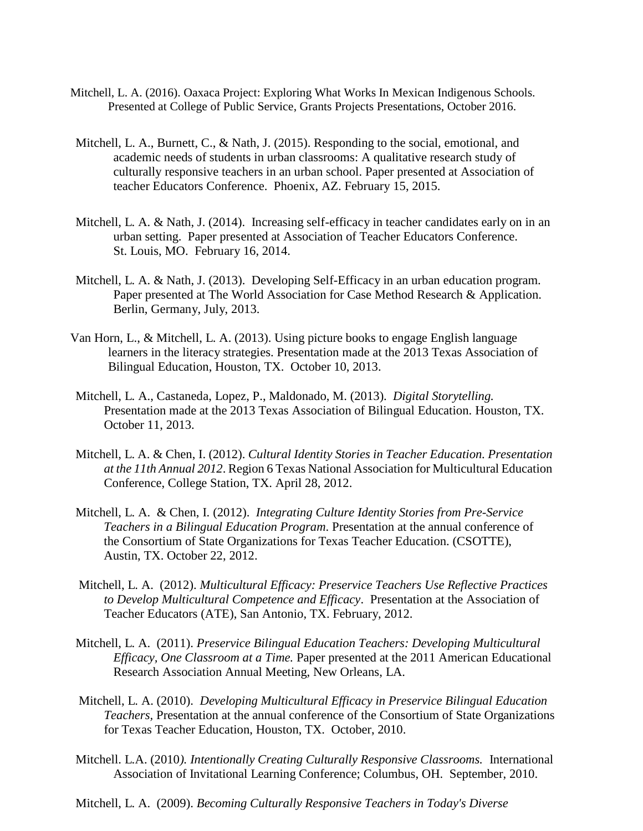- Mitchell, L. A. (2016). Oaxaca Project: Exploring What Works In Mexican Indigenous Schools. Presented at College of Public Service, Grants Projects Presentations, October 2016.
- Mitchell, L. A., Burnett, C., & Nath, J. (2015). Responding to the social, emotional, and academic needs of students in urban classrooms: A qualitative research study of culturally responsive teachers in an urban school. Paper presented at Association of teacher Educators Conference. Phoenix, AZ. February 15, 2015.
- Mitchell, L. A. & Nath, J. (2014). Increasing self-efficacy in teacher candidates early on in an urban setting. Paper presented at Association of Teacher Educators Conference. St. Louis, MO. February 16, 2014.
- Mitchell, L. A. & Nath, J. (2013). Developing Self-Efficacy in an urban education program. Paper presented at The World Association for Case Method Research & Application. Berlin, Germany, July, 2013.
- Van Horn, L., & Mitchell, L. A. (2013). Using picture books to engage English language learners in the literacy strategies. Presentation made at the 2013 Texas Association of Bilingual Education, Houston, TX. October 10, 2013.
- Mitchell, L. A., Castaneda, Lopez, P., Maldonado, M. (2013). *Digital Storytelling.* Presentation made at the 2013 Texas Association of Bilingual Education. Houston, TX. October 11, 2013.
- Mitchell, L. A. & Chen, I. (2012). *Cultural Identity Stories in Teacher Education. Presentation at the 11th Annual 2012*. Region 6 Texas National Association for Multicultural Education Conference, College Station, TX. April 28, 2012.
- Mitchell, L. A. & Chen, I. (2012). *Integrating Culture Identity Stories from Pre-Service Teachers in a Bilingual Education Program*. Presentation at the annual conference of the Consortium of State Organizations for Texas Teacher Education. (CSOTTE), Austin, TX. October 22, 2012.
- Mitchell, L. A. (2012). *Multicultural Efficacy: Preservice Teachers Use Reflective Practices to Develop Multicultural Competence and Efficacy*. Presentation at the Association of Teacher Educators (ATE), San Antonio, TX. February, 2012.
- Mitchell, L. A. (2011). *Preservice Bilingual Education Teachers: Developing Multicultural Efficacy, One Classroom at a Time.* Paper presented at the 2011 American Educational Research Association Annual Meeting, New Orleans, LA.
- Mitchell, L. A. (2010). *Developing Multicultural Efficacy in Preservice Bilingual Education Teachers,* Presentation at the annual conference of the Consortium of State Organizations for Texas Teacher Education, Houston, TX. October, 2010.
- Mitchell. L.A. (2010*). Intentionally Creating Culturally Responsive Classrooms.* International Association of Invitational Learning Conference; Columbus, OH. September, 2010.
- Mitchell, L. A. (2009). *Becoming Culturally Responsive Teachers in Today's Diverse*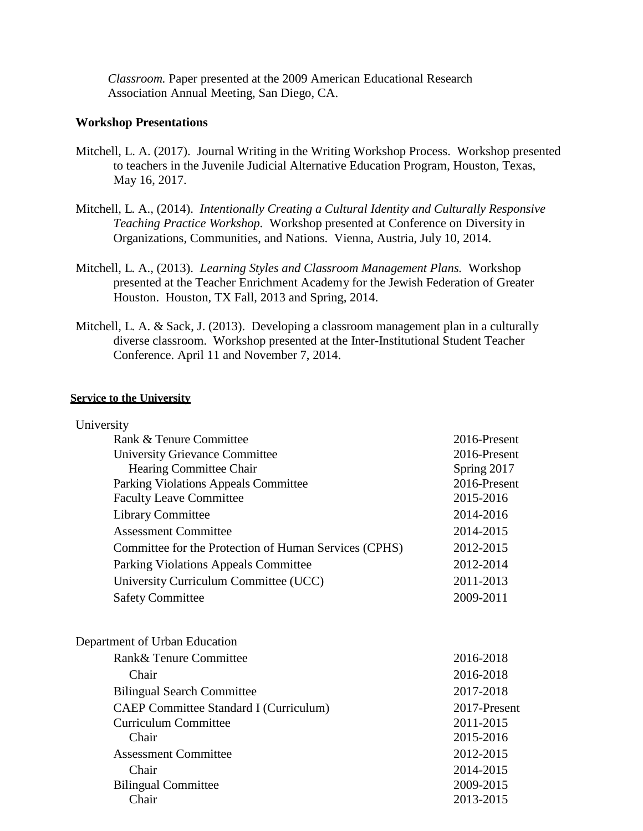*Classroom.* Paper presented at the 2009 American Educational Research Association Annual Meeting, San Diego, CA.

### **Workshop Presentations**

- Mitchell, L. A. (2017). Journal Writing in the Writing Workshop Process. Workshop presented to teachers in the Juvenile Judicial Alternative Education Program, Houston, Texas, May 16, 2017.
- Mitchell, L. A., (2014). *Intentionally Creating a Cultural Identity and Culturally Responsive Teaching Practice Workshop.* Workshop presented at Conference on Diversity in Organizations, Communities, and Nations. Vienna, Austria, July 10, 2014.
- Mitchell, L. A., (2013). *Learning Styles and Classroom Management Plans.* Workshop presented at the Teacher Enrichment Academy for the Jewish Federation of Greater Houston. Houston, TX Fall, 2013 and Spring, 2014.
- Mitchell, L. A. & Sack, J. (2013). Developing a classroom management plan in a culturally diverse classroom. Workshop presented at the Inter-Institutional Student Teacher Conference. April 11 and November 7, 2014.

### **Service to the University**

| University                                            |              |
|-------------------------------------------------------|--------------|
| Rank & Tenure Committee                               | 2016-Present |
| <b>University Grievance Committee</b>                 | 2016-Present |
| Hearing Committee Chair                               | Spring 2017  |
| Parking Violations Appeals Committee                  | 2016-Present |
| <b>Faculty Leave Committee</b>                        | 2015-2016    |
| <b>Library Committee</b>                              | 2014-2016    |
| <b>Assessment Committee</b>                           | 2014-2015    |
| Committee for the Protection of Human Services (CPHS) | 2012-2015    |
| <b>Parking Violations Appeals Committee</b>           | 2012-2014    |
| University Curriculum Committee (UCC)                 | 2011-2013    |
| <b>Safety Committee</b>                               | 2009-2011    |
| Department of Urban Education                         |              |
| Rank& Tenure Committee                                | 2016-2018    |
| Chair                                                 | 2016-2018    |
| <b>Bilingual Search Committee</b>                     | 2017-2018    |
| <b>CAEP Committee Standard I (Curriculum)</b>         | 2017-Present |
| <b>Curriculum Committee</b>                           | 2011-2015    |
| Chair                                                 | 2015-2016    |
| <b>Assessment Committee</b>                           | 2012-2015    |
| Chair                                                 | 2014-2015    |
| <b>Bilingual Committee</b>                            | 2009-2015    |
| Chair                                                 | 2013-2015    |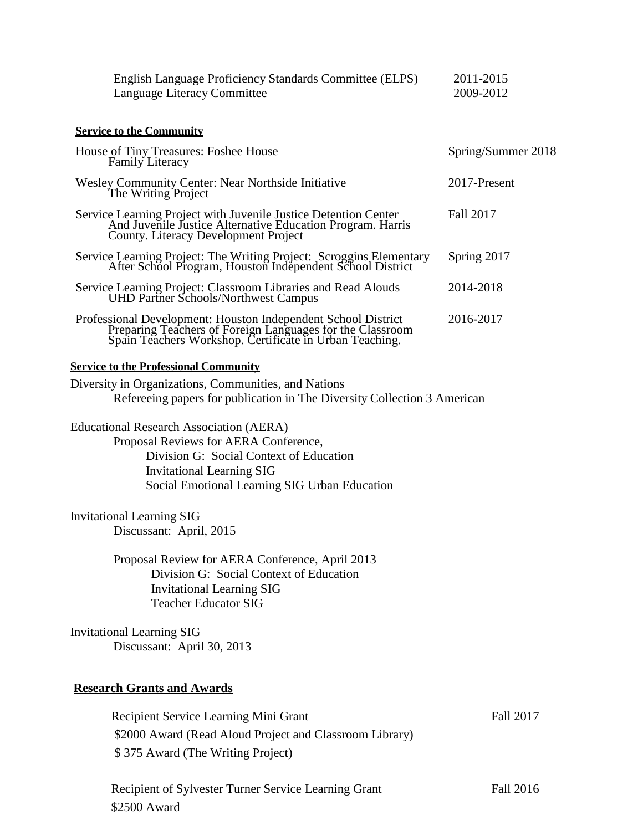| English Language Proficiency Standards Committee (ELPS)<br>Language Literacy Committee                                                                                                                                  | 2011-2015<br>2009-2012 |
|-------------------------------------------------------------------------------------------------------------------------------------------------------------------------------------------------------------------------|------------------------|
| <b>Service to the Community</b>                                                                                                                                                                                         |                        |
| House of Tiny Treasures: Foshee House<br>Family Literacy                                                                                                                                                                | Spring/Summer 2018     |
| <b>Wesley Community Center: Near Northside Initiative</b><br>The Writing Project                                                                                                                                        | 2017-Present           |
| Service Learning Project with Juvenile Justice Detention Center<br>And Juvenile Justice Alternative Education Program. Harris<br><b>County. Literacy Development Project</b>                                            | Fall 2017              |
| Service Learning Project: The Writing Project: Scroggins Elementary<br>After School Program, Houston Independent School District                                                                                        | Spring 2017            |
| Service Learning Project: Classroom Libraries and Read Alouds<br>UHD Partner Schools/Northwest Campus                                                                                                                   | 2014-2018              |
| Professional Development: Houston Independent School District<br>Preparing Teachers of Foreign Languages for the Classroom<br>Spain Teachers Workshop. Certificate in Urban Teaching.                                   | 2016-2017              |
| <b>Service to the Professional Community</b>                                                                                                                                                                            |                        |
| Diversity in Organizations, Communities, and Nations<br>Refereeing papers for publication in The Diversity Collection 3 American                                                                                        |                        |
| <b>Educational Research Association (AERA)</b><br>Proposal Reviews for AERA Conference,<br>Division G: Social Context of Education<br><b>Invitational Learning SIG</b><br>Social Emotional Learning SIG Urban Education |                        |
| <b>Invitational Learning SIG</b><br>Discussant: April, 2015                                                                                                                                                             |                        |
| Proposal Review for AERA Conference, April 2013<br>Division G: Social Context of Education<br><b>Invitational Learning SIG</b><br><b>Teacher Educator SIG</b>                                                           |                        |
| <b>Invitational Learning SIG</b><br>Discussant: April 30, 2013                                                                                                                                                          |                        |
| <b>Research Grants and Awards</b>                                                                                                                                                                                       |                        |
| Recipient Service Learning Mini Grant<br>\$2000 Award (Read Aloud Project and Classroom Library)                                                                                                                        | <b>Fall 2017</b>       |
| \$375 Award (The Writing Project)                                                                                                                                                                                       |                        |
| Recipient of Sylvester Turner Service Learning Grant                                                                                                                                                                    | <b>Fall 2016</b>       |

\$2500 Award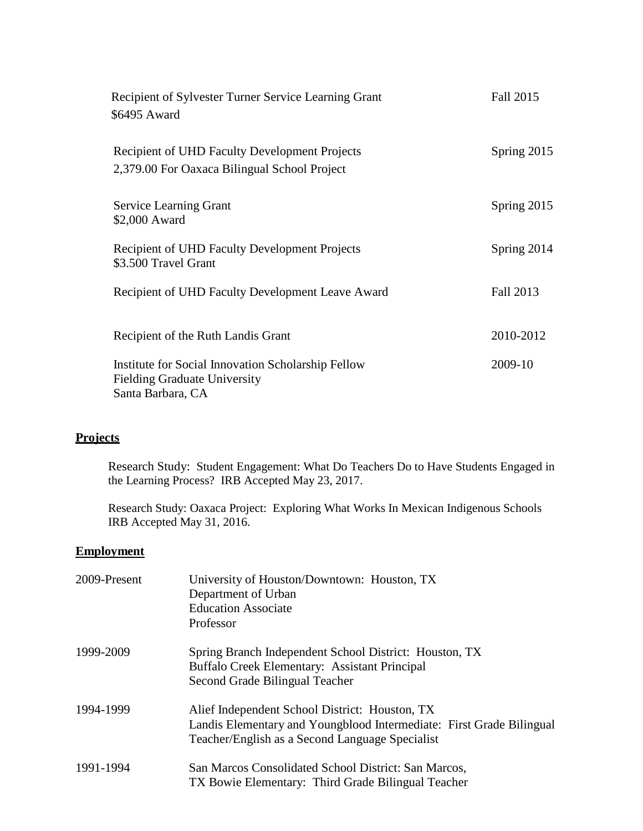| Recipient of Sylvester Turner Service Learning Grant<br>\$6495 Award                                           | Fall 2015   |
|----------------------------------------------------------------------------------------------------------------|-------------|
| Recipient of UHD Faculty Development Projects<br>2,379.00 For Oaxaca Bilingual School Project                  | Spring 2015 |
| Service Learning Grant<br>\$2,000 Award                                                                        | Spring 2015 |
| Recipient of UHD Faculty Development Projects<br>\$3.500 Travel Grant                                          | Spring 2014 |
| Recipient of UHD Faculty Development Leave Award                                                               | Fall 2013   |
| Recipient of the Ruth Landis Grant                                                                             | 2010-2012   |
| Institute for Social Innovation Scholarship Fellow<br><b>Fielding Graduate University</b><br>Santa Barbara, CA | 2009-10     |

# **Projects**

Research Study: Student Engagement: What Do Teachers Do to Have Students Engaged in the Learning Process? IRB Accepted May 23, 2017.

Research Study: Oaxaca Project: Exploring What Works In Mexican Indigenous Schools IRB Accepted May 31, 2016.

## **Employment**

| 2009-Present | University of Houston/Downtown: Houston, TX<br>Department of Urban<br><b>Education Associate</b><br>Professor                                                             |
|--------------|---------------------------------------------------------------------------------------------------------------------------------------------------------------------------|
| 1999-2009    | Spring Branch Independent School District: Houston, TX<br>Buffalo Creek Elementary: Assistant Principal<br>Second Grade Bilingual Teacher                                 |
| 1994-1999    | Alief Independent School District: Houston, TX<br>Landis Elementary and Youngblood Intermediate: First Grade Bilingual<br>Teacher/English as a Second Language Specialist |
| 1991-1994    | San Marcos Consolidated School District: San Marcos,<br>TX Bowie Elementary: Third Grade Bilingual Teacher                                                                |